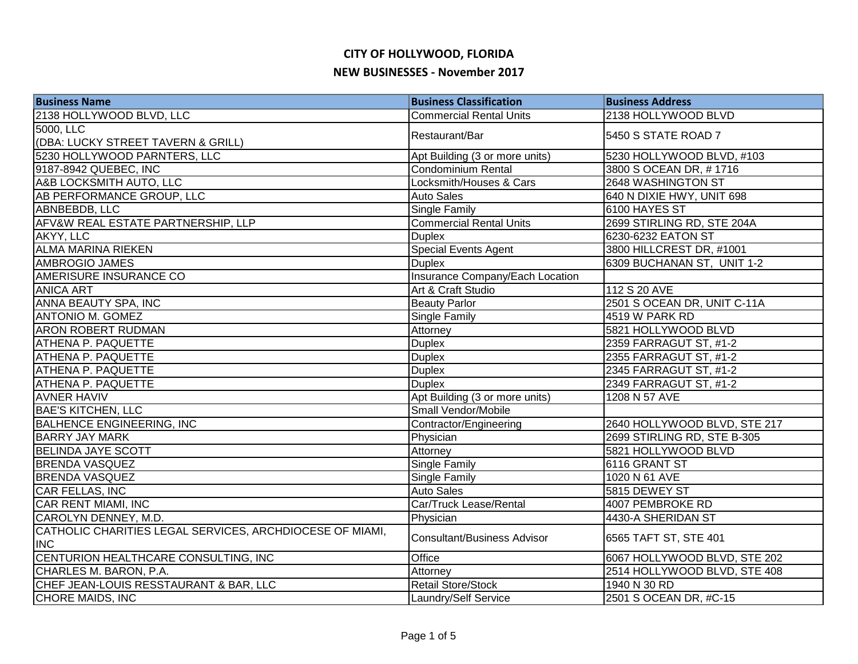| <b>Business Name</b>                                                   | <b>Business Classification</b>     | <b>Business Address</b>      |
|------------------------------------------------------------------------|------------------------------------|------------------------------|
| 2138 HOLLYWOOD BLVD, LLC                                               | <b>Commercial Rental Units</b>     | 2138 HOLLYWOOD BLVD          |
| 5000, LLC                                                              | Restaurant/Bar                     | 5450 S STATE ROAD 7          |
| (DBA: LUCKY STREET TAVERN & GRILL)                                     |                                    |                              |
| 5230 HOLLYWOOD PARNTERS, LLC                                           | Apt Building (3 or more units)     | 5230 HOLLYWOOD BLVD, #103    |
| 9187-8942 QUEBEC, INC                                                  | <b>Condominium Rental</b>          | 3800 S OCEAN DR, #1716       |
| A&B LOCKSMITH AUTO, LLC                                                | Locksmith/Houses & Cars            | 2648 WASHINGTON ST           |
| AB PERFORMANCE GROUP, LLC                                              | <b>Auto Sales</b>                  | 640 N DIXIE HWY, UNIT 698    |
| ABNBEBDB, LLC                                                          | <b>Single Family</b>               | 6100 HAYES ST                |
| AFV&W REAL ESTATE PARTNERSHIP, LLP                                     | <b>Commercial Rental Units</b>     | 2699 STIRLING RD, STE 204A   |
| AKYY, LLC                                                              | <b>Duplex</b>                      | 6230-6232 EATON ST           |
| <b>ALMA MARINA RIEKEN</b>                                              | <b>Special Events Agent</b>        | 3800 HILLCREST DR, #1001     |
| AMBROGIO JAMES                                                         | <b>Duplex</b>                      | 6309 BUCHANAN ST, UNIT 1-2   |
| <b>AMERISURE INSURANCE CO</b>                                          | Insurance Company/Each Location    |                              |
| <b>ANICA ART</b>                                                       | Art & Craft Studio                 | 112 S 20 AVE                 |
| ANNA BEAUTY SPA, INC                                                   | <b>Beauty Parlor</b>               | 2501 S OCEAN DR, UNIT C-11A  |
| <b>ANTONIO M. GOMEZ</b>                                                | <b>Single Family</b>               | 4519 W PARK RD               |
| <b>ARON ROBERT RUDMAN</b>                                              | Attorney                           | 5821 HOLLYWOOD BLVD          |
| <b>ATHENA P. PAQUETTE</b>                                              | <b>Duplex</b>                      | 2359 FARRAGUT ST, #1-2       |
| <b>ATHENA P. PAQUETTE</b>                                              | <b>Duplex</b>                      | 2355 FARRAGUT ST, #1-2       |
| <b>ATHENA P. PAQUETTE</b>                                              | <b>Duplex</b>                      | 2345 FARRAGUT ST, #1-2       |
| <b>ATHENA P. PAQUETTE</b>                                              | <b>Duplex</b>                      | 2349 FARRAGUT ST, #1-2       |
| <b>AVNER HAVIV</b>                                                     | Apt Building (3 or more units)     | 1208 N 57 AVE                |
| <b>BAE'S KITCHEN, LLC</b>                                              | Small Vendor/Mobile                |                              |
| <b>BALHENCE ENGINEERING, INC</b>                                       | Contractor/Engineering             | 2640 HOLLYWOOD BLVD, STE 217 |
| <b>BARRY JAY MARK</b>                                                  | Physician                          | 2699 STIRLING RD, STE B-305  |
| <b>BELINDA JAYE SCOTT</b>                                              | Attorney                           | 5821 HOLLYWOOD BLVD          |
| <b>BRENDA VASQUEZ</b>                                                  | <b>Single Family</b>               | 6116 GRANT ST                |
| <b>BRENDA VASQUEZ</b>                                                  | <b>Single Family</b>               | 1020 N 61 AVE                |
| CAR FELLAS, INC                                                        | <b>Auto Sales</b>                  | 5815 DEWEY ST                |
| CAR RENT MIAMI, INC                                                    | Car/Truck Lease/Rental             | 4007 PEMBROKE RD             |
| CAROLYN DENNEY, M.D.                                                   | Physician                          | 4430-A SHERIDAN ST           |
| CATHOLIC CHARITIES LEGAL SERVICES, ARCHDIOCESE OF MIAMI,<br><b>INC</b> | <b>Consultant/Business Advisor</b> | 6565 TAFT ST, STE 401        |
| CENTURION HEALTHCARE CONSULTING, INC                                   | Office                             | 6067 HOLLYWOOD BLVD, STE 202 |
| CHARLES M. BARON, P.A.                                                 | Attorney                           | 2514 HOLLYWOOD BLVD, STE 408 |
| CHEF JEAN-LOUIS RESSTAURANT & BAR, LLC                                 | <b>Retail Store/Stock</b>          | 1940 N 30 RD                 |
| CHORE MAIDS, INC                                                       | Laundry/Self Service               | 2501 S OCEAN DR, #C-15       |
|                                                                        |                                    |                              |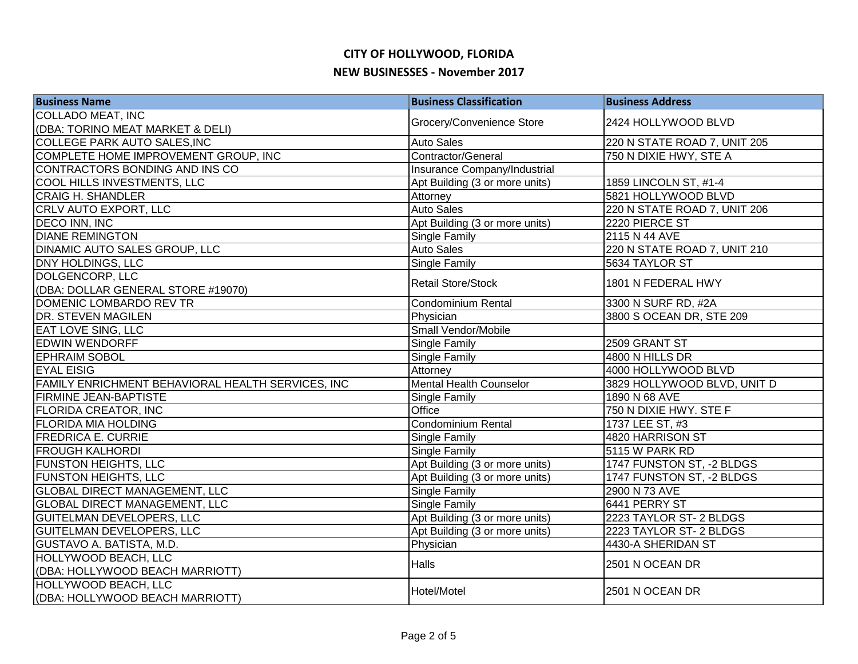| <b>Business Name</b>                              | <b>Business Classification</b> | <b>Business Address</b>      |
|---------------------------------------------------|--------------------------------|------------------------------|
| <b>COLLADO MEAT, INC</b>                          | Grocery/Convenience Store      | 2424 HOLLYWOOD BLVD          |
| (DBA: TORINO MEAT MARKET & DELI)                  |                                |                              |
| COLLEGE PARK AUTO SALES, INC                      | <b>Auto Sales</b>              | 220 N STATE ROAD 7, UNIT 205 |
| COMPLETE HOME IMPROVEMENT GROUP, INC              | Contractor/General             | 750 N DIXIE HWY, STE A       |
| CONTRACTORS BONDING AND INS CO                    | Insurance Company/Industrial   |                              |
| COOL HILLS INVESTMENTS, LLC                       | Apt Building (3 or more units) | 1859 LINCOLN ST, #1-4        |
| <b>CRAIG H. SHANDLER</b>                          | Attorney                       | 5821 HOLLYWOOD BLVD          |
| CRLV AUTO EXPORT, LLC                             | <b>Auto Sales</b>              | 220 N STATE ROAD 7, UNIT 206 |
| DECO INN, INC                                     | Apt Building (3 or more units) | 2220 PIERCE ST               |
| <b>DIANE REMINGTON</b>                            | Single Family                  | 2115 N 44 AVE                |
| DINAMIC AUTO SALES GROUP, LLC                     | <b>Auto Sales</b>              | 220 N STATE ROAD 7, UNIT 210 |
| DNY HOLDINGS, LLC                                 | Single Family                  | 5634 TAYLOR ST               |
| DOLGENCORP, LLC                                   | <b>Retail Store/Stock</b>      | 1801 N FEDERAL HWY           |
| (DBA: DOLLAR GENERAL STORE #19070)                |                                |                              |
| DOMENIC LOMBARDO REV TR                           | <b>Condominium Rental</b>      | 3300 N SURF RD, #2A          |
| <b>DR. STEVEN MAGILEN</b>                         | Physician                      | 3800 S OCEAN DR, STE 209     |
| <b>EAT LOVE SING, LLC</b>                         | Small Vendor/Mobile            |                              |
| <b>EDWIN WENDORFF</b>                             | <b>Single Family</b>           | 2509 GRANT ST                |
| <b>EPHRAIM SOBOL</b>                              | <b>Single Family</b>           | 4800 N HILLS DR              |
| <b>EYAL EISIG</b>                                 | Attorney                       | 4000 HOLLYWOOD BLVD          |
| FAMILY ENRICHMENT BEHAVIORAL HEALTH SERVICES, INC | <b>Mental Health Counselor</b> | 3829 HOLLYWOOD BLVD, UNIT D  |
| <b>FIRMINE JEAN-BAPTISTE</b>                      | Single Family                  | 1890 N 68 AVE                |
| <b>FLORIDA CREATOR, INC</b>                       | Office                         | 750 N DIXIE HWY. STE F       |
| <b>FLORIDA MIA HOLDING</b>                        | <b>Condominium Rental</b>      | 1737 LEE ST, #3              |
| <b>FREDRICA E. CURRIE</b>                         | Single Family                  | 4820 HARRISON ST             |
| <b>FROUGH KALHORDI</b>                            | <b>Single Family</b>           | 5115 W PARK RD               |
| <b>FUNSTON HEIGHTS, LLC</b>                       | Apt Building (3 or more units) | 1747 FUNSTON ST, -2 BLDGS    |
| <b>FUNSTON HEIGHTS, LLC</b>                       | Apt Building (3 or more units) | 1747 FUNSTON ST, -2 BLDGS    |
| <b>GLOBAL DIRECT MANAGEMENT, LLC</b>              | Single Family                  | 2900 N 73 AVE                |
| <b>GLOBAL DIRECT MANAGEMENT, LLC</b>              | Single Family                  | 6441 PERRY ST                |
| <b>GUITELMAN DEVELOPERS, LLC</b>                  | Apt Building (3 or more units) | 2223 TAYLOR ST- 2 BLDGS      |
| <b>GUITELMAN DEVELOPERS, LLC</b>                  | Apt Building (3 or more units) | 2223 TAYLOR ST- 2 BLDGS      |
| GUSTAVO A. BATISTA, M.D.                          | Physician                      | 4430-A SHERIDAN ST           |
| HOLLYWOOD BEACH, LLC                              | <b>Halls</b>                   | 2501 N OCEAN DR              |
| (DBA: HOLLYWOOD BEACH MARRIOTT)                   |                                |                              |
| HOLLYWOOD BEACH, LLC                              | Hotel/Motel                    | 2501 N OCEAN DR              |
| (DBA: HOLLYWOOD BEACH MARRIOTT)                   |                                |                              |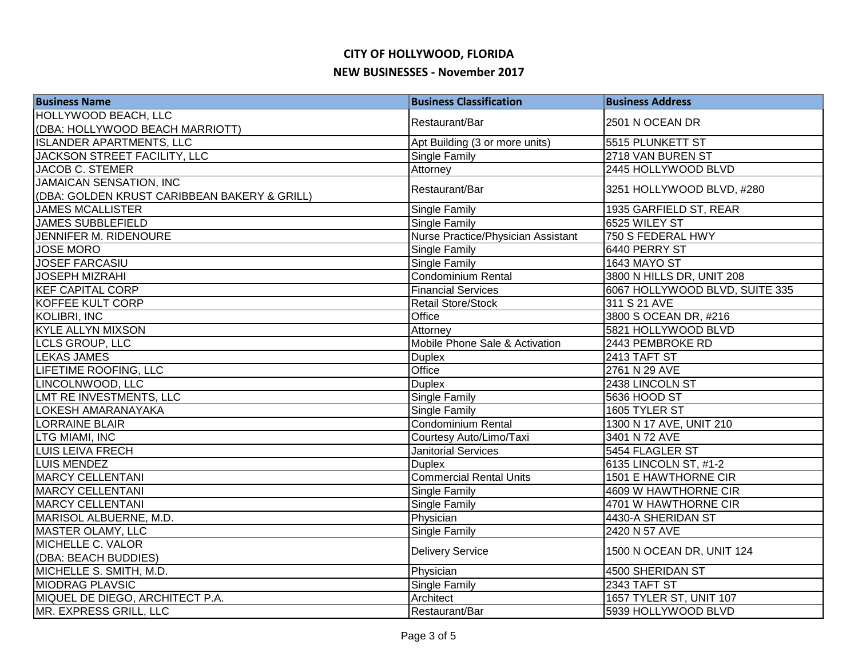| <b>Business Name</b>                         | <b>Business Classification</b>     | <b>Business Address</b>        |
|----------------------------------------------|------------------------------------|--------------------------------|
| <b>HOLLYWOOD BEACH, LLC</b>                  | Restaurant/Bar                     | 2501 N OCEAN DR                |
| (DBA: HOLLYWOOD BEACH MARRIOTT)              |                                    |                                |
| <b>ISLANDER APARTMENTS, LLC</b>              | Apt Building (3 or more units)     | 5515 PLUNKETT ST               |
| JACKSON STREET FACILITY, LLC                 | <b>Single Family</b>               | 2718 VAN BUREN ST              |
| JACOB C. STEMER                              | Attorney                           | 2445 HOLLYWOOD BLVD            |
| <b>JAMAICAN SENSATION, INC</b>               | Restaurant/Bar                     | 3251 HOLLYWOOD BLVD, #280      |
| (DBA: GOLDEN KRUST CARIBBEAN BAKERY & GRILL) |                                    |                                |
| <b>JAMES MCALLISTER</b>                      | Single Family                      | 1935 GARFIELD ST, REAR         |
| <b>JAMES SUBBLEFIELD</b>                     | Single Family                      | 6525 WILEY ST                  |
| JENNIFER M. RIDENOURE                        | Nurse Practice/Physician Assistant | 750 S FEDERAL HWY              |
| <b>JOSE MORO</b>                             | Single Family                      | 6440 PERRY ST                  |
| <b>JOSEF FARCASIU</b>                        | Single Family                      | 1643 MAYO ST                   |
| <b>JOSEPH MIZRAHI</b>                        | Condominium Rental                 | 3800 N HILLS DR, UNIT 208      |
| <b>KEF CAPITAL CORP</b>                      | <b>Financial Services</b>          | 6067 HOLLYWOOD BLVD, SUITE 335 |
| KOFFEE KULT CORP                             | <b>Retail Store/Stock</b>          | 311 S 21 AVE                   |
| <b>KOLIBRI, INC</b>                          | Office                             | 3800 S OCEAN DR, #216          |
| <b>KYLE ALLYN MIXSON</b>                     | Attorney                           | 5821 HOLLYWOOD BLVD            |
| <b>LCLS GROUP, LLC</b>                       | Mobile Phone Sale & Activation     | 2443 PEMBROKE RD               |
| <b>LEKAS JAMES</b>                           | <b>Duplex</b>                      | 2413 TAFT ST                   |
| LIFETIME ROOFING, LLC                        | Office                             | 2761 N 29 AVE                  |
| LINCOLNWOOD, LLC                             | <b>Duplex</b>                      | 2438 LINCOLN ST                |
| LMT RE INVESTMENTS, LLC                      | Single Family                      | 5636 HOOD ST                   |
| <b>LOKESH AMARANAYAKA</b>                    | Single Family                      | 1605 TYLER ST                  |
| <b>LORRAINE BLAIR</b>                        | Condominium Rental                 | 1300 N 17 AVE, UNIT 210        |
| <b>LTG MIAMI, INC</b>                        | Courtesy Auto/Limo/Taxi            | 3401 N 72 AVE                  |
| <b>LUIS LEIVA FRECH</b>                      | <b>Janitorial Services</b>         | 5454 FLAGLER ST                |
| <b>LUIS MENDEZ</b>                           | <b>Duplex</b>                      | 6135 LINCOLN ST, #1-2          |
| <b>MARCY CELLENTANI</b>                      | <b>Commercial Rental Units</b>     | 1501 E HAWTHORNE CIR           |
| <b>MARCY CELLENTANI</b>                      | <b>Single Family</b>               | 4609 W HAWTHORNE CIR           |
| <b>MARCY CELLENTANI</b>                      | Single Family                      | 4701 W HAWTHORNE CIR           |
| MARISOL ALBUERNE, M.D.                       | Physician                          | 4430-A SHERIDAN ST             |
| MASTER OLAMY, LLC                            | Single Family                      | 2420 N 57 AVE                  |
| MICHELLE C. VALOR                            |                                    |                                |
| (DBA: BEACH BUDDIES)                         | <b>Delivery Service</b>            | 1500 N OCEAN DR, UNIT 124      |
| MICHELLE S. SMITH, M.D.                      | Physician                          | 4500 SHERIDAN ST               |
| <b>MIODRAG PLAVSIC</b>                       | <b>Single Family</b>               | 2343 TAFT ST                   |
| MIQUEL DE DIEGO, ARCHITECT P.A.              | Architect                          | 1657 TYLER ST, UNIT 107        |
| MR. EXPRESS GRILL, LLC                       | Restaurant/Bar                     | 5939 HOLLYWOOD BLVD            |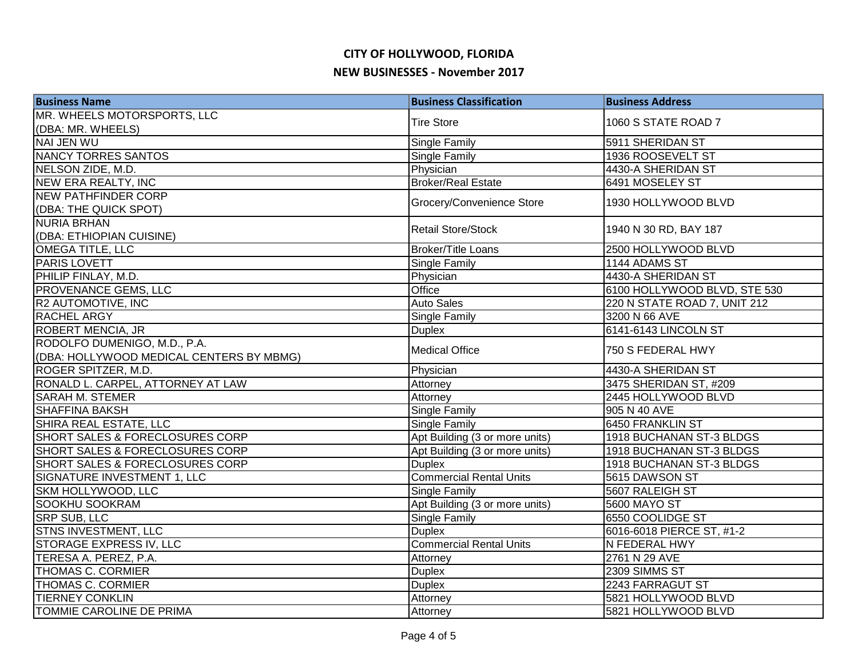| <b>Business Name</b>                       | <b>Business Classification</b> | <b>Business Address</b>      |
|--------------------------------------------|--------------------------------|------------------------------|
| MR. WHEELS MOTORSPORTS, LLC                | <b>Tire Store</b>              | 1060 S STATE ROAD 7          |
| (DBA: MR. WHEELS)                          |                                |                              |
| <b>NAI JEN WU</b>                          | <b>Single Family</b>           | 5911 SHERIDAN ST             |
| <b>NANCY TORRES SANTOS</b>                 | <b>Single Family</b>           | 1936 ROOSEVELT ST            |
| NELSON ZIDE, M.D.                          | Physician                      | 4430-A SHERIDAN ST           |
| <b>NEW ERA REALTY, INC</b>                 | <b>Broker/Real Estate</b>      | 6491 MOSELEY ST              |
| <b>NEW PATHFINDER CORP</b>                 |                                | 1930 HOLLYWOOD BLVD          |
| (DBA: THE QUICK SPOT)                      | Grocery/Convenience Store      |                              |
| <b>NURIA BRHAN</b>                         | Retail Store/Stock             | 1940 N 30 RD, BAY 187        |
| (DBA: ETHIOPIAN CUISINE)                   |                                |                              |
| OMEGA TITLE, LLC                           | <b>Broker/Title Loans</b>      | 2500 HOLLYWOOD BLVD          |
| PARIS LOVETT                               | Single Family                  | 1144 ADAMS ST                |
| PHILIP FINLAY, M.D.                        | Physician                      | 4430-A SHERIDAN ST           |
| PROVENANCE GEMS, LLC                       | Office                         | 6100 HOLLYWOOD BLVD, STE 530 |
| R2 AUTOMOTIVE, INC                         | <b>Auto Sales</b>              | 220 N STATE ROAD 7, UNIT 212 |
| <b>RACHEL ARGY</b>                         | Single Family                  | 3200 N 66 AVE                |
| <b>ROBERT MENCIA, JR</b>                   | <b>Duplex</b>                  | 6141-6143 LINCOLN ST         |
| RODOLFO DUMENIGO, M.D., P.A.               | <b>Medical Office</b>          | 750 S FEDERAL HWY            |
| (DBA: HOLLYWOOD MEDICAL CENTERS BY MBMG)   |                                |                              |
| ROGER SPITZER, M.D.                        | Physician                      | 4430-A SHERIDAN ST           |
| RONALD L. CARPEL, ATTORNEY AT LAW          | Attorney                       | 3475 SHERIDAN ST, #209       |
| <b>SARAH M. STEMER</b>                     | Attorney                       | 2445 HOLLYWOOD BLVD          |
| <b>SHAFFINA BAKSH</b>                      | <b>Single Family</b>           | 905 N 40 AVE                 |
| SHIRA REAL ESTATE, LLC                     | <b>Single Family</b>           | <b>6450 FRANKLIN ST</b>      |
| SHORT SALES & FORECLOSURES CORP            | Apt Building (3 or more units) | 1918 BUCHANAN ST-3 BLDGS     |
| SHORT SALES & FORECLOSURES CORP            | Apt Building (3 or more units) | 1918 BUCHANAN ST-3 BLDGS     |
| <b>SHORT SALES &amp; FORECLOSURES CORP</b> | <b>Duplex</b>                  | 1918 BUCHANAN ST-3 BLDGS     |
| SIGNATURE INVESTMENT 1, LLC                | <b>Commercial Rental Units</b> | 5615 DAWSON ST               |
| SKM HOLLYWOOD, LLC                         | <b>Single Family</b>           | 5607 RALEIGH ST              |
| <b>SOOKHU SOOKRAM</b>                      | Apt Building (3 or more units) | 5600 MAYO ST                 |
| <b>SRP SUB, LLC</b>                        | <b>Single Family</b>           | 6550 COOLIDGE ST             |
| STNS INVESTMENT, LLC                       | <b>Duplex</b>                  | 6016-6018 PIERCE ST, #1-2    |
| STORAGE EXPRESS IV, LLC                    | <b>Commercial Rental Units</b> | N FEDERAL HWY                |
| TERESA A. PEREZ, P.A.                      | Attorney                       | 2761 N 29 AVE                |
| <b>THOMAS C. CORMIER</b>                   | <b>Duplex</b>                  | 2309 SIMMS ST                |
| <b>THOMAS C. CORMIER</b>                   | <b>Duplex</b>                  | 2243 FARRAGUT ST             |
| <b>TIERNEY CONKLIN</b>                     | Attorney                       | 5821 HOLLYWOOD BLVD          |
| TOMMIE CAROLINE DE PRIMA                   | Attorney                       | 5821 HOLLYWOOD BLVD          |